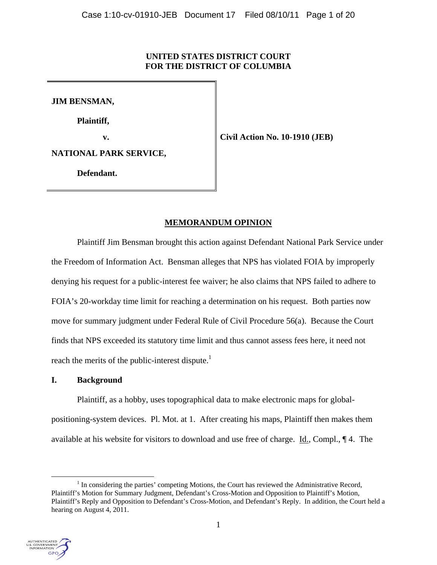## **UNITED STATES DISTRICT COURT FOR THE DISTRICT OF COLUMBIA**

**JIM BENSMAN,** 

**Plaintiff,** 

*v***. Civil Action No. 10-1910 (JEB)** 

**NATIONAL PARK SERVICE,** 

**Defendant.** 

# **MEMORANDUM OPINION**

Plaintiff Jim Bensman brought this action against Defendant National Park Service under the Freedom of Information Act. Bensman alleges that NPS has violated FOIA by improperly denying his request for a public-interest fee waiver; he also claims that NPS failed to adhere to FOIA's 20-workday time limit for reaching a determination on his request. Both parties now move for summary judgment under Federal Rule of Civil Procedure 56(a). Because the Court finds that NPS exceeded its statutory time limit and thus cannot assess fees here, it need not reach the merits of the public-interest dispute.<sup>1</sup>

## **I. Background**

 Plaintiff, as a hobby, uses topographical data to make electronic maps for globalpositioning-system devices. Pl. Mot. at 1. After creating his maps, Plaintiff then makes them available at his website for visitors to download and use free of charge. Id., Compl., ¶ 4. The

 $\frac{1}{1}$  $<sup>1</sup>$  In considering the parties' competing Motions, the Court has reviewed the Administrative Record,</sup> Plaintiff's Motion for Summary Judgment, Defendant's Cross-Motion and Opposition to Plaintiff's Motion, Plaintiff's Reply and Opposition to Defendant's Cross-Motion, and Defendant's Reply. In addition, the Court held a hearing on August 4, 2011.

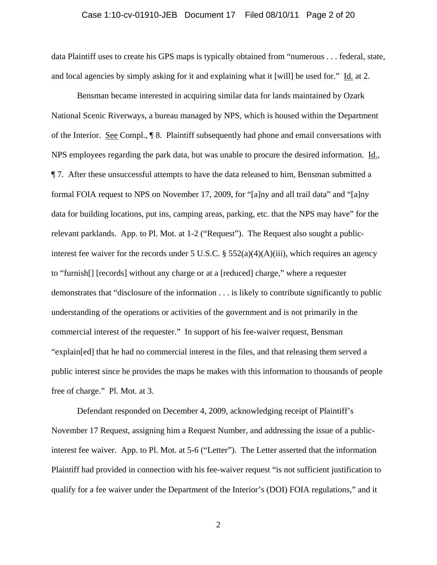## Case 1:10-cv-01910-JEB Document 17 Filed 08/10/11 Page 2 of 20

data Plaintiff uses to create his GPS maps is typically obtained from "numerous . . . federal, state, and local agencies by simply asking for it and explaining what it [will] be used for." Id. at 2.

 Bensman became interested in acquiring similar data for lands maintained by Ozark National Scenic Riverways, a bureau managed by NPS, which is housed within the Department of the Interior. See Compl., ¶ 8. Plaintiff subsequently had phone and email conversations with NPS employees regarding the park data, but was unable to procure the desired information. Id., ¶ 7. After these unsuccessful attempts to have the data released to him, Bensman submitted a formal FOIA request to NPS on November 17, 2009, for "[a]ny and all trail data" and "[a]ny data for building locations, put ins, camping areas, parking, etc. that the NPS may have" for the relevant parklands. App. to Pl. Mot. at 1-2 ("Request"). The Request also sought a publicinterest fee waiver for the records under 5 U.S.C. § 552(a)(4)(A)(iii), which requires an agency to "furnish[] [records] without any charge or at a [reduced] charge," where a requester demonstrates that "disclosure of the information . . . is likely to contribute significantly to public understanding of the operations or activities of the government and is not primarily in the commercial interest of the requester." In support of his fee-waiver request, Bensman "explain[ed] that he had no commercial interest in the files, and that releasing them served a public interest since he provides the maps he makes with this information to thousands of people free of charge." Pl. Mot. at 3.

 Defendant responded on December 4, 2009, acknowledging receipt of Plaintiff's November 17 Request, assigning him a Request Number, and addressing the issue of a publicinterest fee waiver. App. to Pl. Mot. at 5-6 ("Letter"). The Letter asserted that the information Plaintiff had provided in connection with his fee-waiver request "is not sufficient justification to qualify for a fee waiver under the Department of the Interior's (DOI) FOIA regulations," and it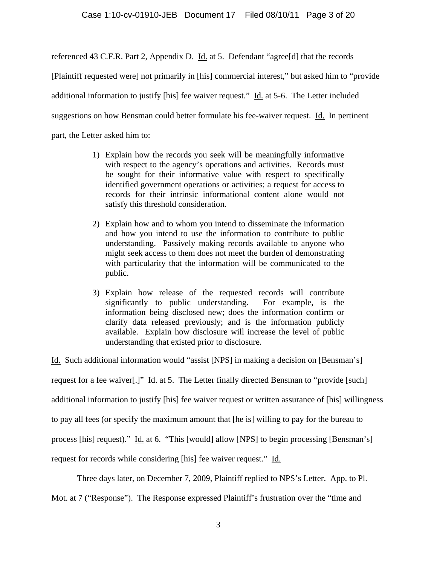referenced 43 C.F.R. Part 2, Appendix D. Id. at 5. Defendant "agree[d] that the records

[Plaintiff requested were] not primarily in [his] commercial interest," but asked him to "provide

additional information to justify [his] fee waiver request." Id. at 5-6. The Letter included

suggestions on how Bensman could better formulate his fee-waiver request. Id. In pertinent

part, the Letter asked him to:

- 1) Explain how the records you seek will be meaningfully informative with respect to the agency's operations and activities. Records must be sought for their informative value with respect to specifically identified government operations or activities; a request for access to records for their intrinsic informational content alone would not satisfy this threshold consideration.
- 2) Explain how and to whom you intend to disseminate the information and how you intend to use the information to contribute to public understanding. Passively making records available to anyone who might seek access to them does not meet the burden of demonstrating with particularity that the information will be communicated to the public.
- 3) Explain how release of the requested records will contribute significantly to public understanding. For example, is the information being disclosed new; does the information confirm or clarify data released previously; and is the information publicly available. Explain how disclosure will increase the level of public understanding that existed prior to disclosure.

Id. Such additional information would "assist [NPS] in making a decision on [Bensman's] request for a fee waiver[.]" Id. at 5. The Letter finally directed Bensman to "provide [such] additional information to justify [his] fee waiver request or written assurance of [his] willingness to pay all fees (or specify the maximum amount that [he is] willing to pay for the bureau to process [his] request)." Id. at 6. "This [would] allow [NPS] to begin processing [Bensman's] request for records while considering [his] fee waiver request." Id.

Three days later, on December 7, 2009, Plaintiff replied to NPS's Letter. App. to Pl.

Mot. at 7 ("Response"). The Response expressed Plaintiff's frustration over the "time and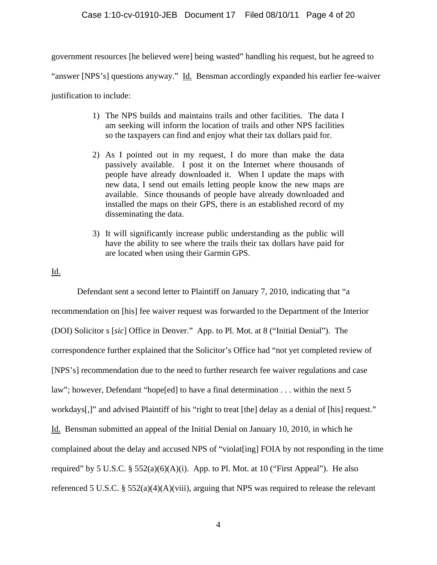government resources [he believed were] being wasted" handling his request, but he agreed to

"answer [NPS's] questions anyway." Id. Bensman accordingly expanded his earlier fee-waiver

justification to include:

- 1) The NPS builds and maintains trails and other facilities. The data I am seeking will inform the location of trails and other NPS facilities so the taxpayers can find and enjoy what their tax dollars paid for.
- 2) As I pointed out in my request, I do more than make the data passively available. I post it on the Internet where thousands of people have already downloaded it. When I update the maps with new data, I send out emails letting people know the new maps are available. Since thousands of people have already downloaded and installed the maps on their GPS, there is an established record of my disseminating the data.
- 3) It will significantly increase public understanding as the public will have the ability to see where the trails their tax dollars have paid for are located when using their Garmin GPS.

## Id.

 Defendant sent a second letter to Plaintiff on January 7, 2010, indicating that "a recommendation on [his] fee waiver request was forwarded to the Department of the Interior (DOI) Solicitor s [*sic*] Office in Denver." App. to Pl. Mot. at 8 ("Initial Denial"). The correspondence further explained that the Solicitor's Office had "not yet completed review of [NPS's] recommendation due to the need to further research fee waiver regulations and case law"; however, Defendant "hope[ed] to have a final determination . . . within the next 5 workdays[,]" and advised Plaintiff of his "right to treat [the] delay as a denial of [his] request." Id. Bensman submitted an appeal of the Initial Denial on January 10, 2010, in which he complained about the delay and accused NPS of "violat[ing] FOIA by not responding in the time required" by 5 U.S.C.  $\S$  552(a)(6)(A)(i). App. to Pl. Mot. at 10 ("First Appeal"). He also referenced 5 U.S.C. § 552(a)(4)(A)(viii), arguing that NPS was required to release the relevant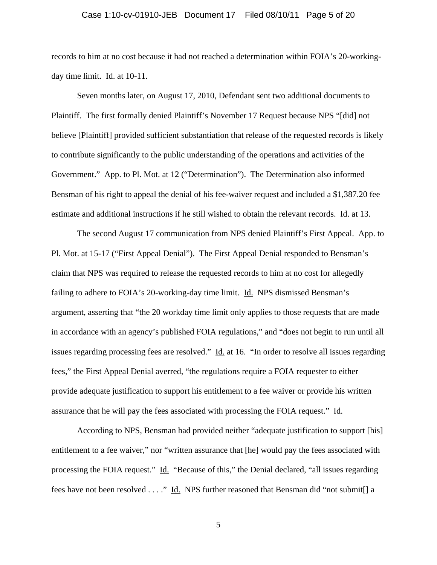## Case 1:10-cv-01910-JEB Document 17 Filed 08/10/11 Page 5 of 20

records to him at no cost because it had not reached a determination within FOIA's 20-workingday time limit. Id. at 10-11.

 Seven months later, on August 17, 2010, Defendant sent two additional documents to Plaintiff. The first formally denied Plaintiff's November 17 Request because NPS "[did] not believe [Plaintiff] provided sufficient substantiation that release of the requested records is likely to contribute significantly to the public understanding of the operations and activities of the Government." App. to Pl. Mot. at 12 ("Determination"). The Determination also informed Bensman of his right to appeal the denial of his fee-waiver request and included a \$1,387.20 fee estimate and additional instructions if he still wished to obtain the relevant records. Id. at 13.

 The second August 17 communication from NPS denied Plaintiff's First Appeal. App. to Pl. Mot. at 15-17 ("First Appeal Denial"). The First Appeal Denial responded to Bensman's claim that NPS was required to release the requested records to him at no cost for allegedly failing to adhere to FOIA's 20-working-day time limit. Id. NPS dismissed Bensman's argument, asserting that "the 20 workday time limit only applies to those requests that are made in accordance with an agency's published FOIA regulations," and "does not begin to run until all issues regarding processing fees are resolved." Id. at 16. "In order to resolve all issues regarding fees," the First Appeal Denial averred, "the regulations require a FOIA requester to either provide adequate justification to support his entitlement to a fee waiver or provide his written assurance that he will pay the fees associated with processing the FOIA request." Id.

 According to NPS, Bensman had provided neither "adequate justification to support [his] entitlement to a fee waiver," nor "written assurance that [he] would pay the fees associated with processing the FOIA request." Id. "Because of this," the Denial declared, "all issues regarding fees have not been resolved . . . ." Id. NPS further reasoned that Bensman did "not submit[] a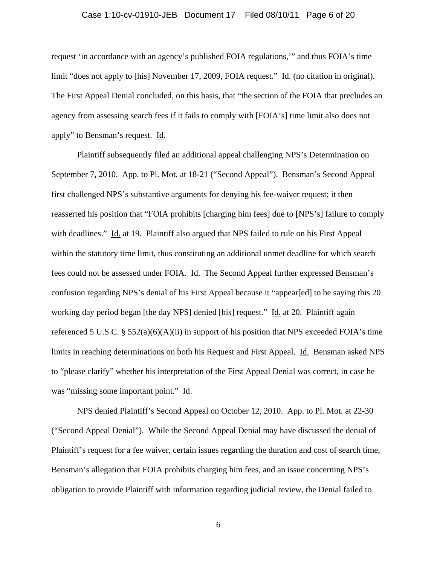## Case 1:10-cv-01910-JEB Document 17 Filed 08/10/11 Page 6 of 20

request 'in accordance with an agency's published FOIA regulations,'" and thus FOIA's time limit "does not apply to [his] November 17, 2009, FOIA request." Id. (no citation in original). The First Appeal Denial concluded, on this basis, that "the section of the FOIA that precludes an agency from assessing search fees if it fails to comply with [FOIA's] time limit also does not apply" to Bensman's request. Id.

 Plaintiff subsequently filed an additional appeal challenging NPS's Determination on September 7, 2010. App. to Pl. Mot. at 18-21 ("Second Appeal"). Bensman's Second Appeal first challenged NPS's substantive arguments for denying his fee-waiver request; it then reasserted his position that "FOIA prohibits [charging him fees] due to [NPS's] failure to comply with deadlines." Id. at 19. Plaintiff also argued that NPS failed to rule on his First Appeal within the statutory time limit, thus constituting an additional unmet deadline for which search fees could not be assessed under FOIA. Id. The Second Appeal further expressed Bensman's confusion regarding NPS's denial of his First Appeal because it "appear[ed] to be saying this 20 working day period began [the day NPS] denied [his] request." Id. at 20. Plaintiff again referenced 5 U.S.C. § 552(a)(6)(A)(ii) in support of his position that NPS exceeded FOIA's time limits in reaching determinations on both his Request and First Appeal. Id. Bensman asked NPS to "please clarify" whether his interpretation of the First Appeal Denial was correct, in case he was "missing some important point." Id.

 NPS denied Plaintiff's Second Appeal on October 12, 2010. App. to Pl. Mot. at 22-30 ("Second Appeal Denial"). While the Second Appeal Denial may have discussed the denial of Plaintiff's request for a fee waiver, certain issues regarding the duration and cost of search time, Bensman's allegation that FOIA prohibits charging him fees, and an issue concerning NPS's obligation to provide Plaintiff with information regarding judicial review, the Denial failed to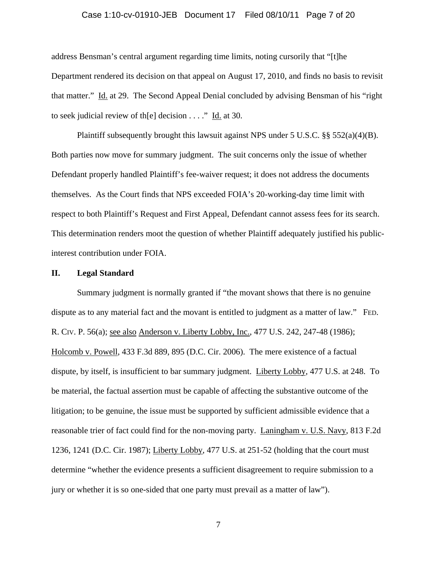## Case 1:10-cv-01910-JEB Document 17 Filed 08/10/11 Page 7 of 20

address Bensman's central argument regarding time limits, noting cursorily that "[t]he Department rendered its decision on that appeal on August 17, 2010, and finds no basis to revisit that matter." Id. at 29. The Second Appeal Denial concluded by advising Bensman of his "right to seek judicial review of th[e] decision . . . ." Id. at 30.

Plaintiff subsequently brought this lawsuit against NPS under 5 U.S.C. §§ 552(a)(4)(B). Both parties now move for summary judgment. The suit concerns only the issue of whether Defendant properly handled Plaintiff's fee-waiver request; it does not address the documents themselves. As the Court finds that NPS exceeded FOIA's 20-working-day time limit with respect to both Plaintiff's Request and First Appeal, Defendant cannot assess fees for its search. This determination renders moot the question of whether Plaintiff adequately justified his publicinterest contribution under FOIA.

## **II. Legal Standard**

Summary judgment is normally granted if "the movant shows that there is no genuine dispute as to any material fact and the movant is entitled to judgment as a matter of law." FED. R. CIV. P. 56(a); see also Anderson v. Liberty Lobby, Inc., 477 U.S. 242, 247-48 (1986); Holcomb v. Powell, 433 F.3d 889, 895 (D.C. Cir. 2006). The mere existence of a factual dispute, by itself, is insufficient to bar summary judgment. Liberty Lobby, 477 U.S. at 248. To be material, the factual assertion must be capable of affecting the substantive outcome of the litigation; to be genuine, the issue must be supported by sufficient admissible evidence that a reasonable trier of fact could find for the non-moving party. Laningham v. U.S. Navy, 813 F.2d 1236, 1241 (D.C. Cir. 1987); Liberty Lobby, 477 U.S. at 251-52 (holding that the court must determine "whether the evidence presents a sufficient disagreement to require submission to a jury or whether it is so one-sided that one party must prevail as a matter of law").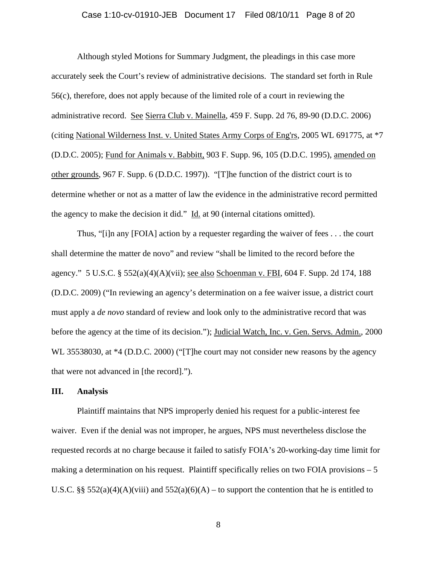## Case 1:10-cv-01910-JEB Document 17 Filed 08/10/11 Page 8 of 20

Although styled Motions for Summary Judgment, the pleadings in this case more accurately seek the Court's review of administrative decisions. The standard set forth in Rule 56(c), therefore, does not apply because of the limited role of a court in reviewing the administrative record. See Sierra Club v. Mainella, 459 F. Supp. 2d 76, 89-90 (D.D.C. 2006) (citing National Wilderness Inst. v. United States Army Corps of Eng'rs, 2005 WL 691775, at \*7 (D.D.C. 2005); Fund for Animals v. Babbitt, 903 F. Supp. 96, 105 (D.D.C. 1995), amended on other grounds, 967 F. Supp. 6 (D.D.C. 1997)). "[T]he function of the district court is to determine whether or not as a matter of law the evidence in the administrative record permitted the agency to make the decision it did." Id. at 90 (internal citations omitted).

Thus, "[i]n any [FOIA] action by a requester regarding the waiver of fees . . . the court shall determine the matter de novo" and review "shall be limited to the record before the agency." 5 U.S.C. § 552(a)(4)(A)(vii); see also Schoenman v. FBI, 604 F. Supp. 2d 174, 188 (D.D.C. 2009) ("In reviewing an agency's determination on a fee waiver issue, a district court must apply a *de novo* standard of review and look only to the administrative record that was before the agency at the time of its decision."); Judicial Watch, Inc. v. Gen. Servs. Admin., 2000 WL 35538030, at  $*4$  (D.D.C. 2000) ("The court may not consider new reasons by the agency that were not advanced in [the record].").

## **III. Analysis**

 Plaintiff maintains that NPS improperly denied his request for a public-interest fee waiver. Even if the denial was not improper, he argues, NPS must nevertheless disclose the requested records at no charge because it failed to satisfy FOIA's 20-working-day time limit for making a determination on his request. Plaintiff specifically relies on two FOIA provisions  $-5$ U.S.C. §§  $552(a)(4)(A)(viii)$  and  $552(a)(6)(A)$  – to support the contention that he is entitled to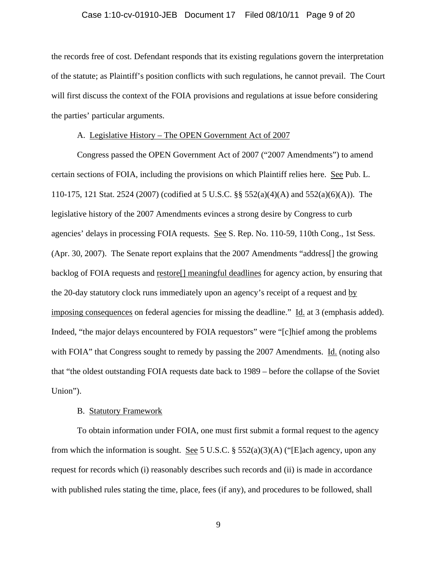## Case 1:10-cv-01910-JEB Document 17 Filed 08/10/11 Page 9 of 20

the records free of cost. Defendant responds that its existing regulations govern the interpretation of the statute; as Plaintiff's position conflicts with such regulations, he cannot prevail. The Court will first discuss the context of the FOIA provisions and regulations at issue before considering the parties' particular arguments.

## A. Legislative History – The OPEN Government Act of 2007

 Congress passed the OPEN Government Act of 2007 ("2007 Amendments") to amend certain sections of FOIA, including the provisions on which Plaintiff relies here. See Pub. L. 110-175, 121 Stat. 2524 (2007) (codified at 5 U.S.C. §§ 552(a)(4)(A) and 552(a)(6)(A)). The legislative history of the 2007 Amendments evinces a strong desire by Congress to curb agencies' delays in processing FOIA requests. See S. Rep. No. 110-59, 110th Cong., 1st Sess. (Apr. 30, 2007). The Senate report explains that the 2007 Amendments "address[] the growing backlog of FOIA requests and restore[] meaningful deadlines for agency action, by ensuring that the 20-day statutory clock runs immediately upon an agency's receipt of a request and by imposing consequences on federal agencies for missing the deadline." Id. at 3 (emphasis added). Indeed, "the major delays encountered by FOIA requestors" were "[c]hief among the problems with FOIA" that Congress sought to remedy by passing the 2007 Amendments. Id. (noting also that "the oldest outstanding FOIA requests date back to 1989 – before the collapse of the Soviet Union").

## B. Statutory Framework

 To obtain information under FOIA, one must first submit a formal request to the agency from which the information is sought. See 5 U.S.C.  $\S$  552(a)(3)(A) ("[E]ach agency, upon any request for records which (i) reasonably describes such records and (ii) is made in accordance with published rules stating the time, place, fees (if any), and procedures to be followed, shall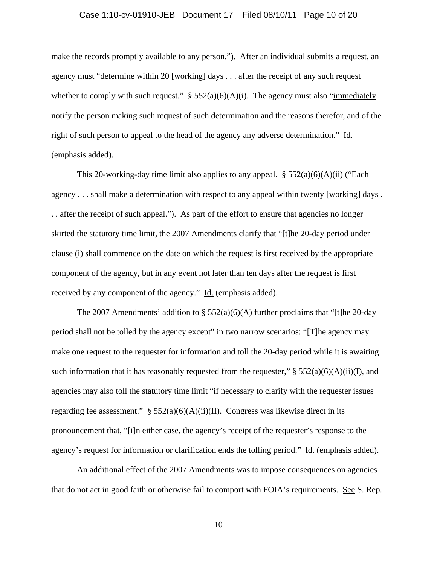## Case 1:10-cv-01910-JEB Document 17 Filed 08/10/11 Page 10 of 20

make the records promptly available to any person."). After an individual submits a request, an agency must "determine within 20 [working] days . . . after the receipt of any such request whether to comply with such request."  $\S 552(a)(6)(A)(i)$ . The agency must also "immediately notify the person making such request of such determination and the reasons therefor, and of the right of such person to appeal to the head of the agency any adverse determination." Id. (emphasis added).

This 20-working-day time limit also applies to any appeal.  $\S 552(a)(6)(A)(ii)$  ("Each agency . . . shall make a determination with respect to any appeal within twenty [working] days . . . after the receipt of such appeal."). As part of the effort to ensure that agencies no longer skirted the statutory time limit, the 2007 Amendments clarify that "[t]he 20-day period under clause (i) shall commence on the date on which the request is first received by the appropriate component of the agency, but in any event not later than ten days after the request is first received by any component of the agency." Id. (emphasis added).

The 2007 Amendments' addition to  $\S$  552(a)(6)(A) further proclaims that "[t]he 20-day period shall not be tolled by the agency except" in two narrow scenarios: "[T]he agency may make one request to the requester for information and toll the 20-day period while it is awaiting such information that it has reasonably requested from the requester,"  $\S 552(a)(6)(A)(ii)(I)$ , and agencies may also toll the statutory time limit "if necessary to clarify with the requester issues regarding fee assessment."  $\S$  552(a)(6)(A)(ii)(II). Congress was likewise direct in its pronouncement that, "[i]n either case, the agency's receipt of the requester's response to the agency's request for information or clarification ends the tolling period." Id. (emphasis added).

 An additional effect of the 2007 Amendments was to impose consequences on agencies that do not act in good faith or otherwise fail to comport with FOIA's requirements. See S. Rep.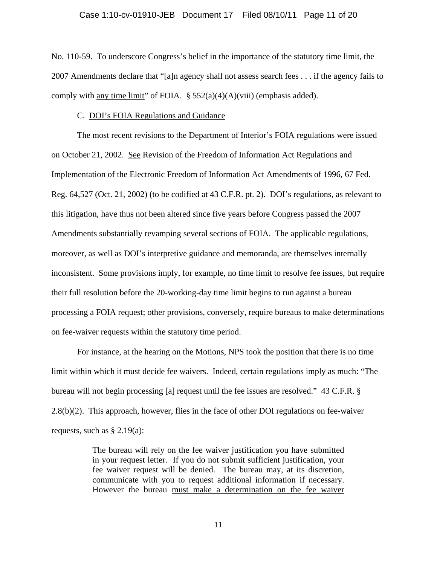No. 110-59. To underscore Congress's belief in the importance of the statutory time limit, the 2007 Amendments declare that "[a]n agency shall not assess search fees . . . if the agency fails to comply with any time limit" of FOIA.  $\S$  552(a)(4)(A)(viii) (emphasis added).

## C. DOI's FOIA Regulations and Guidance

 The most recent revisions to the Department of Interior's FOIA regulations were issued on October 21, 2002. See Revision of the Freedom of Information Act Regulations and Implementation of the Electronic Freedom of Information Act Amendments of 1996, 67 Fed. Reg. 64,527 (Oct. 21, 2002) (to be codified at 43 C.F.R. pt. 2). DOI's regulations, as relevant to this litigation, have thus not been altered since five years before Congress passed the 2007 Amendments substantially revamping several sections of FOIA. The applicable regulations, moreover, as well as DOI's interpretive guidance and memoranda, are themselves internally inconsistent. Some provisions imply, for example, no time limit to resolve fee issues, but require their full resolution before the 20-working-day time limit begins to run against a bureau processing a FOIA request; other provisions, conversely, require bureaus to make determinations on fee-waiver requests within the statutory time period.

 For instance, at the hearing on the Motions, NPS took the position that there is no time limit within which it must decide fee waivers. Indeed, certain regulations imply as much: "The bureau will not begin processing [a] request until the fee issues are resolved." 43 C.F.R. § 2.8(b)(2). This approach, however, flies in the face of other DOI regulations on fee-waiver requests, such as  $\S 2.19(a)$ :

> The bureau will rely on the fee waiver justification you have submitted in your request letter. If you do not submit sufficient justification, your fee waiver request will be denied. The bureau may, at its discretion, communicate with you to request additional information if necessary. However the bureau must make a determination on the fee waiver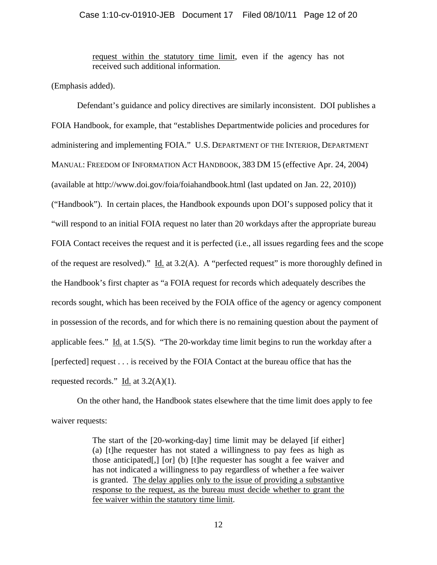## Case 1:10-cv-01910-JEB Document 17 Filed 08/10/11 Page 12 of 20

request within the statutory time limit, even if the agency has not received such additional information.

(Emphasis added).

 Defendant's guidance and policy directives are similarly inconsistent. DOI publishes a FOIA Handbook, for example, that "establishes Departmentwide policies and procedures for administering and implementing FOIA." U.S. DEPARTMENT OF THE INTERIOR, DEPARTMENT MANUAL: FREEDOM OF INFORMATION ACT HANDBOOK, 383 DM 15 (effective Apr. 24, 2004) (available at http://www.doi.gov/foia/foiahandbook.html (last updated on Jan. 22, 2010)) ("Handbook"). In certain places, the Handbook expounds upon DOI's supposed policy that it "will respond to an initial FOIA request no later than 20 workdays after the appropriate bureau FOIA Contact receives the request and it is perfected (i.e., all issues regarding fees and the scope of the request are resolved)." Id. at 3.2(A). A "perfected request" is more thoroughly defined in the Handbook's first chapter as "a FOIA request for records which adequately describes the records sought, which has been received by the FOIA office of the agency or agency component in possession of the records, and for which there is no remaining question about the payment of applicable fees." Id. at 1.5(S). "The 20-workday time limit begins to run the workday after a [perfected] request . . . is received by the FOIA Contact at the bureau office that has the requested records." Id. at  $3.2(A)(1)$ .

 On the other hand, the Handbook states elsewhere that the time limit does apply to fee waiver requests:

> The start of the [20-working-day] time limit may be delayed [if either] (a) [t]he requester has not stated a willingness to pay fees as high as those anticipated[,] [or] (b) [t]he requester has sought a fee waiver and has not indicated a willingness to pay regardless of whether a fee waiver is granted. The delay applies only to the issue of providing a substantive response to the request, as the bureau must decide whether to grant the fee waiver within the statutory time limit.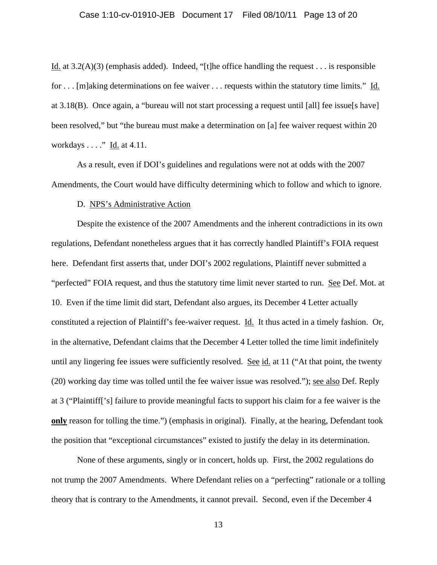## Case 1:10-cv-01910-JEB Document 17 Filed 08/10/11 Page 13 of 20

Id. at  $3.2(A)(3)$  (emphasis added). Indeed, "[t]he office handling the request . . . is responsible for . . . [m]aking determinations on fee waiver . . . requests within the statutory time limits." Id. at 3.18(B). Once again, a "bureau will not start processing a request until [all] fee issue[s have] been resolved," but "the bureau must make a determination on [a] fee waiver request within 20 workdays . . . ." Id. at 4.11.

 As a result, even if DOI's guidelines and regulations were not at odds with the 2007 Amendments, the Court would have difficulty determining which to follow and which to ignore.

#### D. NPS's Administrative Action

 Despite the existence of the 2007 Amendments and the inherent contradictions in its own regulations, Defendant nonetheless argues that it has correctly handled Plaintiff's FOIA request here. Defendant first asserts that, under DOI's 2002 regulations, Plaintiff never submitted a "perfected" FOIA request, and thus the statutory time limit never started to run. See Def. Mot. at 10. Even if the time limit did start, Defendant also argues, its December 4 Letter actually constituted a rejection of Plaintiff's fee-waiver request. Id. It thus acted in a timely fashion. Or, in the alternative, Defendant claims that the December 4 Letter tolled the time limit indefinitely until any lingering fee issues were sufficiently resolved. See id. at 11 ("At that point, the twenty (20) working day time was tolled until the fee waiver issue was resolved."); see also Def. Reply at 3 ("Plaintiff['s] failure to provide meaningful facts to support his claim for a fee waiver is the **only** reason for tolling the time.") (emphasis in original). Finally, at the hearing, Defendant took the position that "exceptional circumstances" existed to justify the delay in its determination.

 None of these arguments, singly or in concert, holds up. First, the 2002 regulations do not trump the 2007 Amendments. Where Defendant relies on a "perfecting" rationale or a tolling theory that is contrary to the Amendments, it cannot prevail. Second, even if the December 4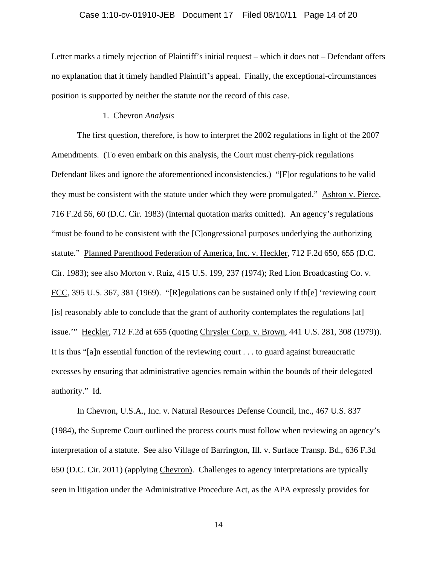## Case 1:10-cv-01910-JEB Document 17 Filed 08/10/11 Page 14 of 20

Letter marks a timely rejection of Plaintiff's initial request – which it does not – Defendant offers no explanation that it timely handled Plaintiff's appeal. Finally, the exceptional-circumstances position is supported by neither the statute nor the record of this case.

## 1. Chevron *Analysis*

 The first question, therefore, is how to interpret the 2002 regulations in light of the 2007 Amendments. (To even embark on this analysis, the Court must cherry-pick regulations Defendant likes and ignore the aforementioned inconsistencies.) "[F]or regulations to be valid they must be consistent with the statute under which they were promulgated." Ashton v. Pierce, 716 F.2d 56, 60 (D.C. Cir. 1983) (internal quotation marks omitted). An agency's regulations "must be found to be consistent with the [C]ongressional purposes underlying the authorizing statute." Planned Parenthood Federation of America, Inc. v. Heckler, 712 F.2d 650, 655 (D.C. Cir. 1983); see also Morton v. Ruiz, 415 U.S. 199, 237 (1974); Red Lion Broadcasting Co. v. FCC, 395 U.S. 367, 381 (1969). "[R]egulations can be sustained only if th[e] 'reviewing court [is] reasonably able to conclude that the grant of authority contemplates the regulations [at] issue.'" Heckler, 712 F.2d at 655 (quoting Chrysler Corp. v. Brown*,* 441 U.S. 281, 308 (1979)). It is thus "[a]n essential function of the reviewing court . . . to guard against bureaucratic excesses by ensuring that administrative agencies remain within the bounds of their delegated authority." Id.

 In Chevron, U.S.A., Inc. v. Natural Resources Defense Council, Inc., 467 U.S. 837 (1984), the Supreme Court outlined the process courts must follow when reviewing an agency's interpretation of a statute. See also Village of Barrington, Ill. v. Surface Transp. Bd., 636 F.3d 650 (D.C. Cir. 2011) (applying Chevron). Challenges to agency interpretations are typically seen in litigation under the Administrative Procedure Act, as the APA expressly provides for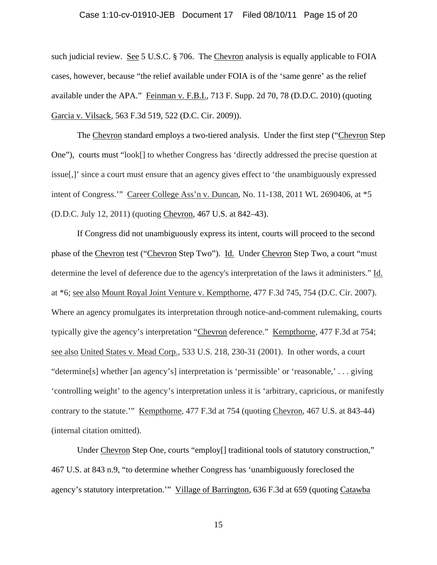## Case 1:10-cv-01910-JEB Document 17 Filed 08/10/11 Page 15 of 20

such judicial review. See 5 U.S.C. § 706. The Chevron analysis is equally applicable to FOIA cases, however, because "the relief available under FOIA is of the 'same genre' as the relief available under the APA." Feinman v. F.B.I., 713 F. Supp. 2d 70, 78 (D.D.C. 2010) (quoting Garcia v. Vilsack, 563 F.3d 519, 522 (D.C. Cir. 2009)).

 The Chevron standard employs a two-tiered analysis. Under the first step ("Chevron Step One"), courts must "look[] to whether Congress has 'directly addressed the precise question at issue[,]' since a court must ensure that an agency gives effect to 'the unambiguously expressed intent of Congress.'" Career College Ass'n v. Duncan, No. 11-138, 2011 WL 2690406, at \*5 (D.D.C. July 12, 2011) (quoting Chevron*,* 467 U.S. at 842–43).

 If Congress did not unambiguously express its intent, courts will proceed to the second phase of the Chevron test ("Chevron Step Two"). Id. Under Chevron Step Two, a court "must determine the level of deference due to the agency's interpretation of the laws it administers." Id. at \*6; see also Mount Royal Joint Venture v. Kempthorne, 477 F.3d 745, 754 (D.C. Cir. 2007). Where an agency promulgates its interpretation through notice-and-comment rulemaking, courts typically give the agency's interpretation "Chevron deference." Kempthorne, 477 F.3d at 754; see also United States v. Mead Corp., 533 U.S. 218, 230-31 (2001). In other words, a court "determine[s] whether [an agency's] interpretation is 'permissible' or 'reasonable,' . . . giving 'controlling weight' to the agency's interpretation unless it is 'arbitrary, capricious, or manifestly contrary to the statute.'" Kempthorne, 477 F.3d at 754 (quoting Chevron, 467 U.S. at 843-44) (internal citation omitted).

Under Chevron Step One, courts "employ<sup>[]</sup> traditional tools of statutory construction," 467 U.S. at 843 n.9, "to determine whether Congress has 'unambiguously foreclosed the agency's statutory interpretation." Village of Barrington, 636 F.3d at 659 (quoting Catawba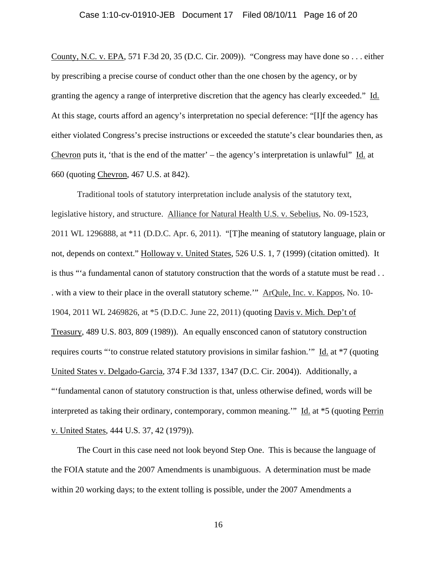## Case 1:10-cv-01910-JEB Document 17 Filed 08/10/11 Page 16 of 20

County, N.C. v. EPA, 571 F.3d 20, 35 (D.C. Cir. 2009)). "Congress may have done so . . . either by prescribing a precise course of conduct other than the one chosen by the agency, or by granting the agency a range of interpretive discretion that the agency has clearly exceeded." Id. At this stage, courts afford an agency's interpretation no special deference: "[I]f the agency has either violated Congress's precise instructions or exceeded the statute's clear boundaries then, as Chevron puts it, 'that is the end of the matter' – the agency's interpretation is unlawful"  $\underline{Id}$  at 660 (quoting Chevron, 467 U.S. at 842).

Traditional tools of statutory interpretation include analysis of the statutory text, legislative history, and structure. Alliance for Natural Health U.S. v. Sebelius, No. 09-1523, 2011 WL 1296888, at \*11 (D.D.C. Apr. 6, 2011). "[T]he meaning of statutory language, plain or not, depends on context." Holloway v. United States, 526 U.S. 1, 7 (1999) (citation omitted). It is thus "'a fundamental canon of statutory construction that the words of a statute must be read . . . with a view to their place in the overall statutory scheme.'" ArQule, Inc. v. Kappos, No. 10- 1904, 2011 WL 2469826, at \*5 (D.D.C. June 22, 2011) (quoting Davis v. Mich. Dep't of Treasury, 489 U.S. 803, 809 (1989)). An equally ensconced canon of statutory construction requires courts "'to construe related statutory provisions in similar fashion.'" Id. at \*7 (quoting United States v. Delgado-Garcia, 374 F.3d 1337, 1347 (D.C. Cir. 2004)). Additionally, a "'fundamental canon of statutory construction is that, unless otherwise defined, words will be interpreted as taking their ordinary, contemporary, common meaning." Id. at \*5 (quoting Perrin v. United States, 444 U.S. 37, 42 (1979)).

 The Court in this case need not look beyond Step One. This is because the language of the FOIA statute and the 2007 Amendments is unambiguous. A determination must be made within 20 working days; to the extent tolling is possible, under the 2007 Amendments a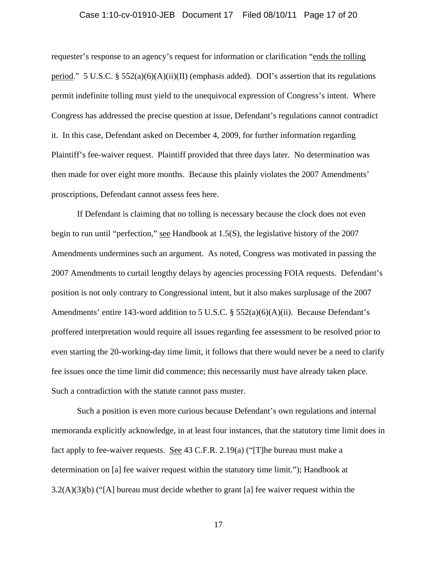## Case 1:10-cv-01910-JEB Document 17 Filed 08/10/11 Page 17 of 20

requester's response to an agency's request for information or clarification "ends the tolling period." 5 U.S.C. § 552(a)(6)(A)(ii)(II) (emphasis added). DOI's assertion that its regulations permit indefinite tolling must yield to the unequivocal expression of Congress's intent. Where Congress has addressed the precise question at issue, Defendant's regulations cannot contradict it. In this case, Defendant asked on December 4, 2009, for further information regarding Plaintiff's fee-waiver request. Plaintiff provided that three days later. No determination was then made for over eight more months. Because this plainly violates the 2007 Amendments' proscriptions, Defendant cannot assess fees here.

 If Defendant is claiming that no tolling is necessary because the clock does not even begin to run until "perfection," see Handbook at 1.5(S), the legislative history of the 2007 Amendments undermines such an argument. As noted, Congress was motivated in passing the 2007 Amendments to curtail lengthy delays by agencies processing FOIA requests. Defendant's position is not only contrary to Congressional intent, but it also makes surplusage of the 2007 Amendments' entire 143-word addition to 5 U.S.C. §  $552(a)(6)(A)(ii)$ . Because Defendant's proffered interpretation would require all issues regarding fee assessment to be resolved prior to even starting the 20-working-day time limit, it follows that there would never be a need to clarify fee issues once the time limit did commence; this necessarily must have already taken place. Such a contradiction with the statute cannot pass muster.

 Such a position is even more curious because Defendant's own regulations and internal memoranda explicitly acknowledge, in at least four instances, that the statutory time limit does in fact apply to fee-waiver requests. See 43 C.F.R. 2.19(a) ("[T]he bureau must make a determination on [a] fee waiver request within the statutory time limit."); Handbook at  $3.2(A)(3)(b)$  ("[A] bureau must decide whether to grant [a] fee waiver request within the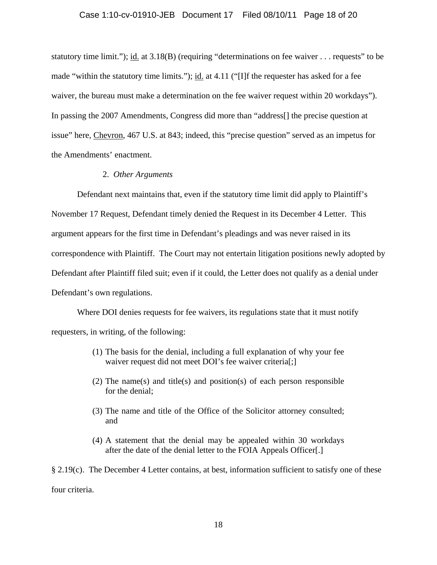## Case 1:10-cv-01910-JEB Document 17 Filed 08/10/11 Page 18 of 20

statutory time limit."); id. at 3.18(B) (requiring "determinations on fee waiver . . . requests" to be made "within the statutory time limits."); id. at 4.11 ("[I]f the requester has asked for a fee waiver, the bureau must make a determination on the fee waiver request within 20 workdays"). In passing the 2007 Amendments, Congress did more than "address[] the precise question at issue" here, Chevron, 467 U.S. at 843; indeed, this "precise question" served as an impetus for the Amendments' enactment.

#### 2. *Other Arguments*

 Defendant next maintains that, even if the statutory time limit did apply to Plaintiff's November 17 Request, Defendant timely denied the Request in its December 4 Letter. This argument appears for the first time in Defendant's pleadings and was never raised in its correspondence with Plaintiff. The Court may not entertain litigation positions newly adopted by Defendant after Plaintiff filed suit; even if it could, the Letter does not qualify as a denial under Defendant's own regulations.

 Where DOI denies requests for fee waivers, its regulations state that it must notify requesters, in writing, of the following:

- (1) The basis for the denial, including a full explanation of why your fee waiver request did not meet DOI's fee waiver criteria[;]
- (2) The name(s) and title(s) and position(s) of each person responsible for the denial;
- (3) The name and title of the Office of the Solicitor attorney consulted; and
- (4) A statement that the denial may be appealed within 30 workdays after the date of the denial letter to the FOIA Appeals Officer[.]

§ 2.19(c). The December 4 Letter contains, at best, information sufficient to satisfy one of these four criteria.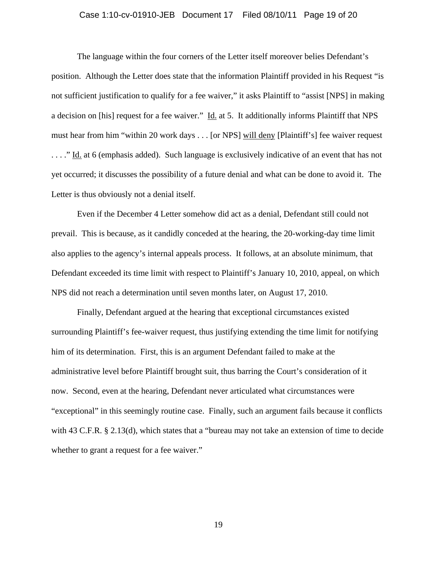## Case 1:10-cv-01910-JEB Document 17 Filed 08/10/11 Page 19 of 20

 The language within the four corners of the Letter itself moreover belies Defendant's position. Although the Letter does state that the information Plaintiff provided in his Request "is not sufficient justification to qualify for a fee waiver," it asks Plaintiff to "assist [NPS] in making a decision on [his] request for a fee waiver." Id. at 5. It additionally informs Plaintiff that NPS must hear from him "within 20 work days . . . [or NPS] will deny [Plaintiff's] fee waiver request . . . ." Id. at 6 (emphasis added). Such language is exclusively indicative of an event that has not yet occurred; it discusses the possibility of a future denial and what can be done to avoid it. The Letter is thus obviously not a denial itself.

 Even if the December 4 Letter somehow did act as a denial, Defendant still could not prevail. This is because, as it candidly conceded at the hearing, the 20-working-day time limit also applies to the agency's internal appeals process. It follows, at an absolute minimum, that Defendant exceeded its time limit with respect to Plaintiff's January 10, 2010, appeal, on which NPS did not reach a determination until seven months later, on August 17, 2010.

 Finally, Defendant argued at the hearing that exceptional circumstances existed surrounding Plaintiff's fee-waiver request, thus justifying extending the time limit for notifying him of its determination. First, this is an argument Defendant failed to make at the administrative level before Plaintiff brought suit, thus barring the Court's consideration of it now. Second, even at the hearing, Defendant never articulated what circumstances were "exceptional" in this seemingly routine case. Finally, such an argument fails because it conflicts with 43 C.F.R. § 2.13(d), which states that a "bureau may not take an extension of time to decide whether to grant a request for a fee waiver."